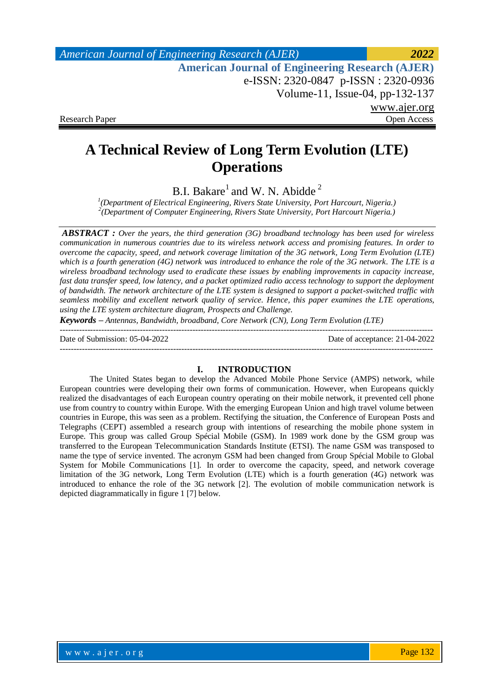*American Journal of Engineering Research (AJER) 2022*  **American Journal of Engineering Research (AJER)** e-ISSN: 2320-0847 p-ISSN : 2320-0936 Volume-11, Issue-04, pp-132-137 www.ajer.org Research Paper **Open Access** Open Access **Open Access** 

# **A Technical Review of Long Term Evolution (LTE) Operations**

B.I. Bakare<sup>1</sup> and W. N. Abidde<sup>2</sup>

*1 (Department of Electrical Engineering, Rivers State University, Port Harcourt, Nigeria.) 2 (Department of Computer Engineering, Rivers State University, Port Harcourt Nigeria.)*

*ABSTRACT : Over the years, the third generation (3G) broadband technology has been used for wireless communication in numerous countries due to its wireless network access and promising features. In order to overcome the capacity, speed, and network coverage limitation of the 3G network, Long Term Evolution (LTE) which is a fourth generation (4G) network was introduced to enhance the role of the 3G network. The LTE is a wireless broadband technology used to eradicate these issues by enabling improvements in capacity increase, fast data transfer speed, low latency, and a packet optimized radio access technology to support the deployment of bandwidth. The network architecture of the LTE system is designed to support a packet-switched traffic with seamless mobility and excellent network quality of service. Hence, this paper examines the LTE operations, using the LTE system architecture diagram, Prospects and Challenge.*

*Keywords – Antennas, Bandwidth, broadband, Core Network (CN), Long Term Evolution (LTE)* 

---------------------------------------------------------------------------------------------------------------------------------------

Date of Submission: 05-04-2022 Date of acceptance: 21-04-2022

---------------------------------------------------------------------------------------------------------------------------------------

#### **I. INTRODUCTION**

The United States began to develop the Advanced Mobile Phone Service (AMPS) network, while European countries were developing their own forms of communication. However, when Europeans quickly realized the disadvantages of each European country operating on their mobile network, it prevented cell phone use from country to country within Europe. With the emerging European Union and high travel volume between countries in Europe, this was seen as a problem. Rectifying the situation, the Conference of European Posts and Telegraphs (CEPT) assembled a research group with intentions of researching the mobile phone system in Europe. This group was called Group Spécial Mobile (GSM). In 1989 work done by the GSM group was transferred to the European Telecommunication Standards Institute (ETSI). The name GSM was transposed to name the type of service invented. The acronym GSM had been changed from Group Spécial Mobile to Global System for Mobile Communications [1]. In order to overcome the capacity, speed, and network coverage limitation of the 3G network, Long Term Evolution (LTE) which is a fourth generation (4G) network was introduced to enhance the role of the 3G network [2]. The evolution of mobile communication network is depicted diagrammatically in figure 1 [7] below.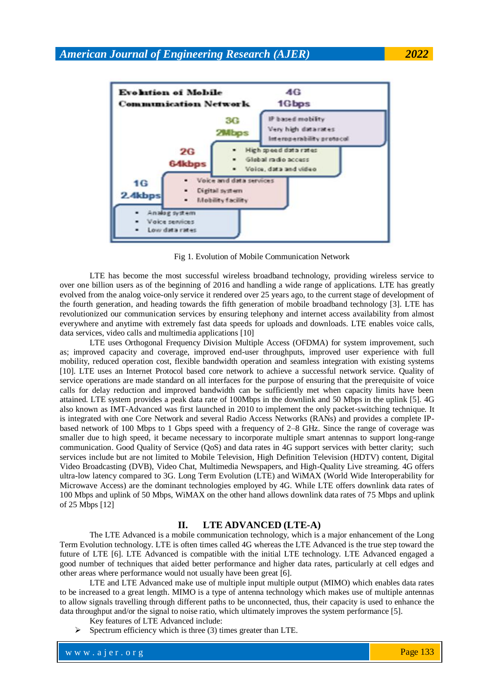

Fig 1. Evolution of Mobile Communication Network

LTE has become the most successful wireless broadband technology, providing wireless service to over one billion users as of the beginning of 2016 and handling a wide range of applications. LTE has greatly evolved from the analog voice-only service it rendered over 25 years ago, to the current stage of development of the fourth generation, and heading towards the fifth generation of mobile broadband technology [3]. LTE has revolutionized our communication services by ensuring telephony and internet access availability from almost everywhere and anytime with extremely fast data speeds for uploads and downloads. LTE enables voice calls, data services, video calls and multimedia applications [10]

LTE uses Orthogonal Frequency Division Multiple Access (OFDMA) for system improvement, such as; improved capacity and coverage, improved end-user throughputs, improved user experience with full mobility, reduced operation cost, flexible bandwidth operation and seamless integration with existing systems [10]. LTE uses an Internet Protocol based core network to achieve a successful network service. Quality of service operations are made standard on all interfaces for the purpose of ensuring that the prerequisite of voice calls for delay reduction and improved bandwidth can be sufficiently met when capacity limits have been attained. LTE system provides a peak data rate of 100Mbps in the downlink and 50 Mbps in the uplink [5]. 4G also known as IMT-Advanced was first launched in 2010 to implement the only packet-switching technique. It is integrated with one Core Network and several Radio Access Networks (RANs) and provides a complete IPbased network of 100 Mbps to 1 Gbps speed with a frequency of 2–8 GHz. Since the range of coverage was smaller due to high speed, it became necessary to incorporate multiple smart antennas to support long-range communication. Good Quality of Service (QoS) and data rates in 4G support services with better clarity; such services include but are not limited to Mobile Television, High Definition Television (HDTV) content, Digital Video Broadcasting (DVB), Video Chat, Multimedia Newspapers, and High-Quality Live streaming. 4G offers ultra-low latency compared to 3G. Long Term Evolution (LTE) and WiMAX (World Wide Interoperability for Microwave Access) are the dominant technologies employed by 4G. While LTE offers downlink data rates of 100 Mbps and uplink of 50 Mbps, WiMAX on the other hand allows downlink data rates of 75 Mbps and uplink of 25 Mbps [12]

#### **II. LTE ADVANCED (LTE-A)**

The LTE Advanced is a mobile communication technology, which is a major enhancement of the Long Term Evolution technology. LTE is often times called 4G whereas the LTE Advanced is the true step toward the future of LTE [6]. LTE Advanced is compatible with the initial LTE technology. LTE Advanced engaged a good number of techniques that aided better performance and higher data rates, particularly at cell edges and other areas where performance would not usually have been great [6].

LTE and LTE Advanced make use of multiple input multiple output (MIMO) which enables data rates to be increased to a great length. MIMO is a type of antenna technology which makes use of multiple antennas to allow signals travelling through different paths to be unconnected, thus, their capacity is used to enhance the data throughput and/or the signal to noise ratio, which ultimately improves the system performance [5].

- Key features of LTE Advanced include:
- Spectrum efficiency which is three (3) times greater than LTE.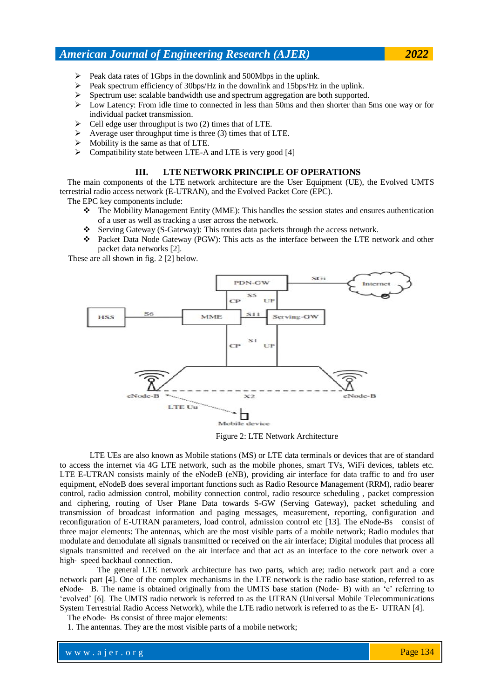## *American Journal of Engineering Research (AJER) 2022*

- $\triangleright$  Peak data rates of 1Gbps in the downlink and 500Mbps in the uplink.
- Peak spectrum efficiency of 30bps/Hz in the downlink and 15bps/Hz in the uplink.
- $\triangleright$  Spectrum use: scalable bandwidth use and spectrum aggregation are both supported.
- $\triangleright$  Low Latency: From idle time to connected in less than 50ms and then shorter than 5ms one way or for individual packet transmission.
- $\triangleright$  Cell edge user throughput is two (2) times that of LTE.
- $\triangleright$  Average user throughput time is three (3) times that of LTE.
- $\triangleright$  Mobility is the same as that of LTE.
- Compatibility state between LTE-A and LTE is very good [4]

### **III. LTE NETWORK PRINCIPLE OF OPERATIONS**

The main components of the LTE network architecture are the User Equipment (UE), the Evolved UMTS terrestrial radio access network (E-UTRAN), and the Evolved Packet Core (EPC).

The EPC key components include:

- The Mobility Management Entity (MME): This handles the session states and ensures authentication of a user as well as tracking a user across the network.
- Serving Gateway (S-Gateway): This routes data packets through the access network.
- Packet Data Node Gateway (PGW): This acts as the interface between the LTE network and other packet data networks [2].

These are all shown in fig. 2 [2] below.



Figure 2: LTE Network Architecture

LTE UEs are also known as Mobile stations (MS) or LTE data terminals or devices that are of standard to access the internet via 4G LTE network, such as the mobile phones, smart TVs, WiFi devices, tablets etc. LTE E-UTRAN consists mainly of the eNodeB (eNB), providing air interface for data traffic to and fro user equipment, eNodeB does several important functions such as Radio Resource Management (RRM), radio bearer control, radio admission control, mobility connection control, radio resource scheduling , packet compression and ciphering, routing of User Plane Data towards S-GW (Serving Gateway), packet scheduling and transmission of broadcast information and paging messages, measurement, reporting, configuration and reconfiguration of E-UTRAN parameters, load control, admission control etc [13]. The eNode-Bs consist of three major elements: The antennas, which are the most visible parts of a mobile network; Radio modules that modulate and demodulate all signals transmitted or received on the air interface; Digital modules that process all signals transmitted and received on the air interface and that act as an interface to the core network over a high‐ speed backhaul connection.

The general LTE network architecture has two parts, which are; radio network part and a core network part [4]. One of the complex mechanisms in the LTE network is the radio base station, referred to as eNode‐ B. The name is obtained originally from the UMTS base station (Node‐ B) with an 'e' referring to 'evolved' [6]. The UMTS radio network is referred to as the UTRAN (Universal Mobile Telecommunications System Terrestrial Radio Access Network), while the LTE radio network is referred to as the E‐ UTRAN [4].

The eNode‐ Bs consist of three major elements:

1. The antennas. They are the most visible parts of a mobile network;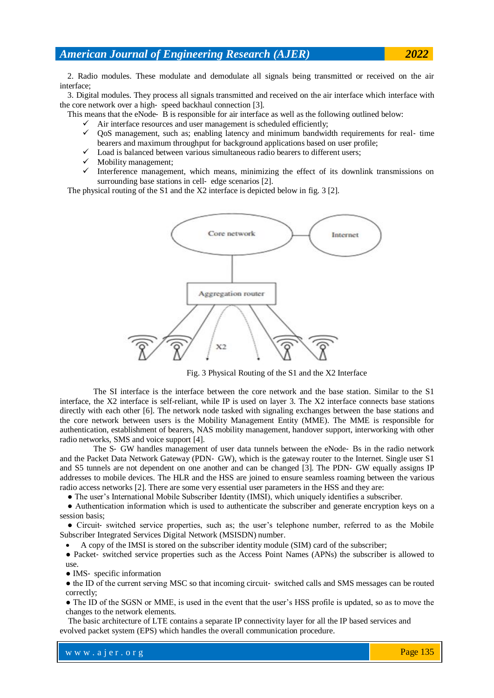## *American Journal of Engineering Research (AJER) 2022*

2. Radio modules. These modulate and demodulate all signals being transmitted or received on the air interface;

3. Digital modules. They process all signals transmitted and received on the air interface which interface with the core network over a high-speed backhaul connection [3].

This means that the eNode‐ B is responsible for air interface as well as the following outlined below:

- $\checkmark$  Air interface resources and user management is scheduled efficiently;
- $\checkmark$  OoS management, such as; enabling latency and minimum bandwidth requirements for real-time bearers and maximum throughput for background applications based on user profile;
- $\checkmark$  Load is balanced between various simultaneous radio bearers to different users;
- $\checkmark$  Mobility management;
- $\checkmark$  Interference management, which means, minimizing the effect of its downlink transmissions on surrounding base stations in cell- edge scenarios [2].

The physical routing of the S1 and the X2 interface is depicted below in fig. 3 [2].



Fig. 3 Physical Routing of the S1 and the X2 Interface

The SI interface is the interface between the core network and the base station. Similar to the S1 interface, the X2 interface is self-reliant, while IP is used on layer 3. The X2 interface connects base stations directly with each other [6]. The network node tasked with signaling exchanges between the base stations and the core network between users is the Mobility Management Entity (MME). The MME is responsible for authentication, establishment of bearers, NAS mobility management, handover support, interworking with other radio networks, SMS and voice support [4].

The S- GW handles management of user data tunnels between the eNode- Bs in the radio network and the Packet Data Network Gateway (PDN‐ GW), which is the gateway router to the Internet. Single user S1 and S5 tunnels are not dependent on one another and can be changed [3]. The PDN‐ GW equally assigns IP addresses to mobile devices. The HLR and the HSS are joined to ensure seamless roaming between the various radio access networks [2]. There are some very essential user parameters in the HSS and they are:

● The user's International Mobile Subscriber Identity (IMSI), which uniquely identifies a subscriber.

● Authentication information which is used to authenticate the subscriber and generate encryption keys on a session basis;

• Circuit- switched service properties, such as; the user's telephone number, referred to as the Mobile Subscriber Integrated Services Digital Network (MSISDN) number.

A copy of the IMSI is stored on the subscriber identity module (SIM) card of the subscriber;

● Packet‐ switched service properties such as the Access Point Names (APNs) the subscriber is allowed to use.

● IMS‐ specific information

• the ID of the current serving MSC so that incoming circuit- switched calls and SMS messages can be routed correctly;

• The ID of the SGSN or MME, is used in the event that the user's HSS profile is updated, so as to move the changes to the network elements.

 The basic architecture of LTE contains a separate IP connectivity layer for all the IP based services and evolved packet system (EPS) which handles the overall communication procedure.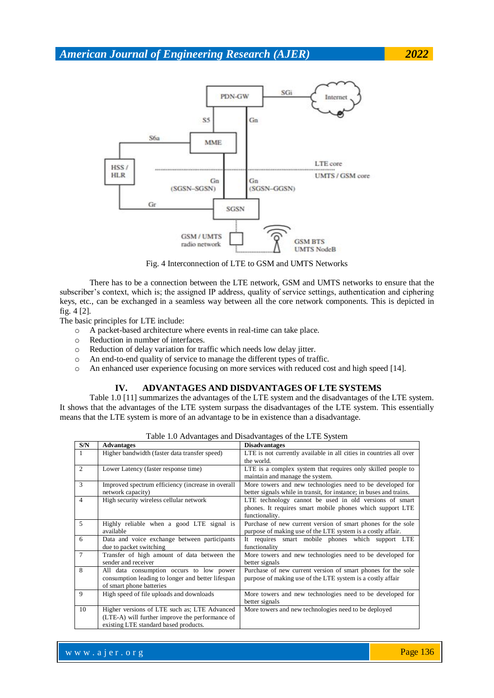

Fig. 4 Interconnection of LTE to GSM and UMTS Networks

There has to be a connection between the LTE network, GSM and UMTS networks to ensure that the subscriber's context, which is; the assigned IP address, quality of service settings, authentication and ciphering keys, etc., can be exchanged in a seamless way between all the core network components. This is depicted in fig. 4 [2].

The basic principles for LTE include:

- o A packet-based architecture where events in real-time can take place.
- o Reduction in number of interfaces.
- o Reduction of delay variation for traffic which needs low delay jitter.
- o An end-to-end quality of service to manage the different types of traffic.
- o An enhanced user experience focusing on more services with reduced cost and high speed [14].

#### **IV. ADVANTAGES AND DISDVANTAGES OF LTE SYSTEMS**

Table 1.0 [11] summarizes the advantages of the LTE system and the disadvantages of the LTE system. It shows that the advantages of the LTE system surpass the disadvantages of the LTE system. This essentially means that the LTE system is more of an advantage to be in existence than a disadvantage.

| S/N            | <b>Advantages</b>                                 | <b>Disadvantages</b>                                                |
|----------------|---------------------------------------------------|---------------------------------------------------------------------|
| 1              | Higher bandwidth (faster data transfer speed)     | LTE is not currently available in all cities in countries all over  |
|                |                                                   | the world.                                                          |
| $\overline{2}$ | Lower Latency (faster response time)              | LTE is a complex system that requires only skilled people to        |
|                |                                                   | maintain and manage the system.                                     |
| 3              | Improved spectrum efficiency (increase in overall | More towers and new technologies need to be developed for           |
|                | network capacity)                                 | better signals while in transit, for instance; in buses and trains. |
| $\overline{4}$ | High security wireless cellular network           | LTE technology cannot be used in old versions of smart              |
|                |                                                   | phones. It requires smart mobile phones which support LTE           |
|                |                                                   | functionality.                                                      |
| 5              | Highly reliable when a good LTE signal is         | Purchase of new current version of smart phones for the sole        |
|                | available                                         | purpose of making use of the LTE system is a costly affair.         |
| 6              | Data and voice exchange between participants      | It requires smart mobile phones which support LTE                   |
|                | due to packet switching                           | functionality                                                       |
| $\overline{7}$ | Transfer of high amount of data between the       | More towers and new technologies need to be developed for           |
|                | sender and receiver                               | better signals                                                      |
| 8              | All data consumption occurs to low power          | Purchase of new current version of smart phones for the sole        |
|                | consumption leading to longer and better lifespan | purpose of making use of the LTE system is a costly affair          |
|                | of smart phone batteries                          |                                                                     |
| 9              | High speed of file uploads and downloads          | More towers and new technologies need to be developed for           |
|                |                                                   | better signals                                                      |
| 10             | Higher versions of LTE such as; LTE Advanced      | More towers and new technologies need to be deployed                |
|                | (LTE-A) will further improve the performance of   |                                                                     |
|                | existing LTE standard based products.             |                                                                     |

Table 1.0 Advantages and Disadvantages of the LTE System

Page 136